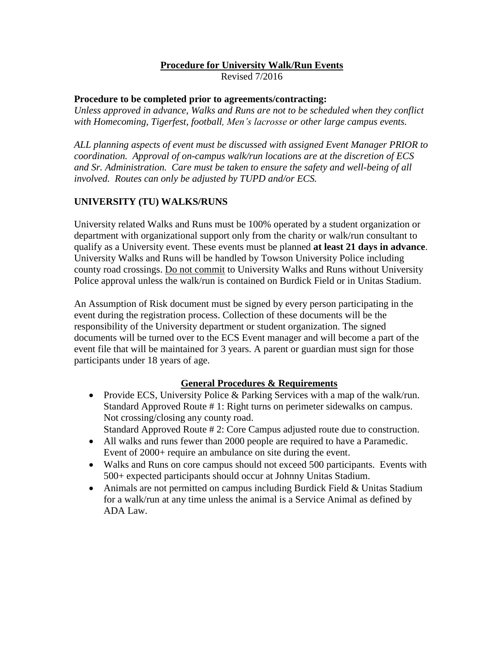## **Procedure for University Walk/Run Events**

Revised 7/2016

## **Procedure to be completed prior to agreements/contracting:**

*Unless approved in advance, Walks and Runs are not to be scheduled when they conflict with Homecoming, Tigerfest, football, Men's lacrosse or other large campus events.*

*ALL planning aspects of event must be discussed with assigned Event Manager PRIOR to coordination. Approval of on-campus walk/run locations are at the discretion of ECS and Sr. Administration. Care must be taken to ensure the safety and well-being of all involved. Routes can only be adjusted by TUPD and/or ECS.*

## **UNIVERSITY (TU) WALKS/RUNS**

University related Walks and Runs must be 100% operated by a student organization or department with organizational support only from the charity or walk/run consultant to qualify as a University event. These events must be planned **at least 21 days in advance**. University Walks and Runs will be handled by Towson University Police including county road crossings. Do not commit to University Walks and Runs without University Police approval unless the walk/run is contained on Burdick Field or in Unitas Stadium.

An Assumption of Risk document must be signed by every person participating in the event during the registration process. Collection of these documents will be the responsibility of the University department or student organization. The signed documents will be turned over to the ECS Event manager and will become a part of the event file that will be maintained for 3 years. A parent or guardian must sign for those participants under 18 years of age.

## **General Procedures & Requirements**

- Provide ECS, University Police & Parking Services with a map of the walk/run. Standard Approved Route # 1: Right turns on perimeter sidewalks on campus. Not crossing/closing any county road. Standard Approved Route # 2: Core Campus adjusted route due to construction.
- All walks and runs fewer than 2000 people are required to have a Paramedic. Event of 2000+ require an ambulance on site during the event.
- Walks and Runs on core campus should not exceed 500 participants. Events with 500+ expected participants should occur at Johnny Unitas Stadium.
- Animals are not permitted on campus including Burdick Field & Unitas Stadium for a walk/run at any time unless the animal is a Service Animal as defined by ADA Law.